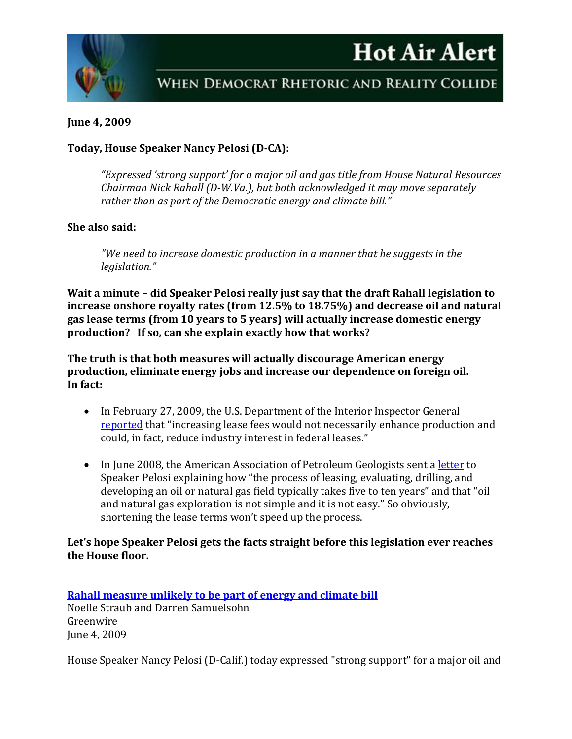# **Hot Air Alert**



# WHEN DEMOCRAT RHETORIC AND REALITY COLLIDE

### **June 4, 2009**

# **Today, House Speaker Nancy Pelosi (D-CA):**

*"Expressed 'strong support' for a major oil and gas title from House Natural Resources Chairman Nick Rahall (D-W.Va.), but both acknowledged it may move separately rather than as part of the Democratic energy and climate bill."*

#### **She also said:**

*"We need to increase domestic production in a manner that he suggests in the legislation."*

**Wait a minute – did Speaker Pelosi really just say that the draft Rahall legislation to increase onshore royalty rates (from 12.5% to 18.75%) and decrease oil and natural gas lease terms (from 10 years to 5 years) will actually increase domestic energy production? If so, can she explain exactly how that works?**

**The truth is that both measures will actually discourage American energy production, eliminate energy jobs and increase our dependence on foreign oil. In fact:** 

- In February 27, 2009, the U.S. Department of the Interior Inspector General [reported](http://www.doioig.gov/upload/2009-I-0008.pdf) that "increasing lease fees would not necessarily enhance production and could, in fact, reduce industry interest in federal leases."
- In June 2008, the American Association of Petroleum Geologists sent a [letter](http://www.aapg.org/geoDC/recent_events/0806junGreenHouseLdrs.pdf) to Speaker Pelosi explaining how "the process of leasing, evaluating, drilling, and developing an oil or natural gas field typically takes five to ten years" and that "oil and natural gas exploration is not simple and it is not easy." So obviously, shortening the lease terms won't speed up the process.

## **Let's hope Speaker Pelosi gets the facts straight before this legislation ever reaches the House floor.**

**[Rahall measure unlikely to be part of energy and climate bill](http://www.eenews.net/Greenwire/2009/06/04/3/)** Noelle Straub and Darren Samuelsohn Greenwire June 4, 2009

House Speaker Nancy Pelosi (D-Calif.) today expressed "strong support" for a major oil and